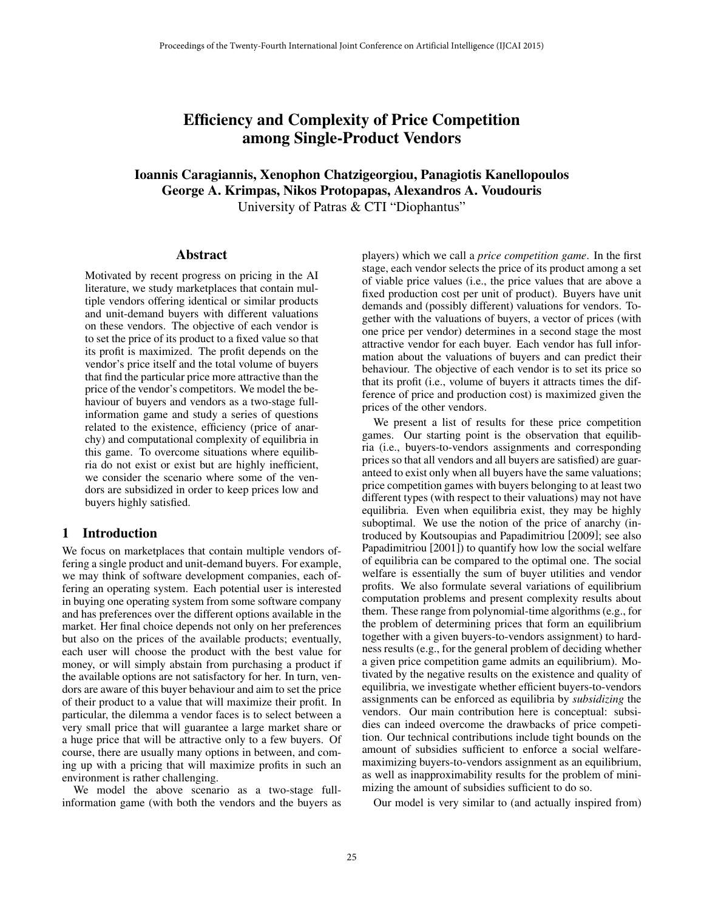# Efficiency and Complexity of Price Competition among Single-Product Vendors

## Ioannis Caragiannis, Xenophon Chatzigeorgiou, Panagiotis Kanellopoulos George A. Krimpas, Nikos Protopapas, Alexandros A. Voudouris University of Patras & CTI "Diophantus"

#### Abstract

Motivated by recent progress on pricing in the AI literature, we study marketplaces that contain multiple vendors offering identical or similar products and unit-demand buyers with different valuations on these vendors. The objective of each vendor is to set the price of its product to a fixed value so that its profit is maximized. The profit depends on the vendor's price itself and the total volume of buyers that find the particular price more attractive than the price of the vendor's competitors. We model the behaviour of buyers and vendors as a two-stage fullinformation game and study a series of questions related to the existence, efficiency (price of anarchy) and computational complexity of equilibria in this game. To overcome situations where equilibria do not exist or exist but are highly inefficient, we consider the scenario where some of the vendors are subsidized in order to keep prices low and buyers highly satisfied.

#### 1 Introduction

We focus on marketplaces that contain multiple vendors offering a single product and unit-demand buyers. For example, we may think of software development companies, each offering an operating system. Each potential user is interested in buying one operating system from some software company and has preferences over the different options available in the market. Her final choice depends not only on her preferences but also on the prices of the available products; eventually, each user will choose the product with the best value for money, or will simply abstain from purchasing a product if the available options are not satisfactory for her. In turn, vendors are aware of this buyer behaviour and aim to set the price of their product to a value that will maximize their profit. In particular, the dilemma a vendor faces is to select between a very small price that will guarantee a large market share or a huge price that will be attractive only to a few buyers. Of course, there are usually many options in between, and coming up with a pricing that will maximize profits in such an environment is rather challenging.

We model the above scenario as a two-stage fullinformation game (with both the vendors and the buyers as players) which we call a *price competition game*. In the first stage, each vendor selects the price of its product among a set of viable price values (i.e., the price values that are above a fixed production cost per unit of product). Buyers have unit demands and (possibly different) valuations for vendors. Together with the valuations of buyers, a vector of prices (with one price per vendor) determines in a second stage the most attractive vendor for each buyer. Each vendor has full information about the valuations of buyers and can predict their behaviour. The objective of each vendor is to set its price so that its profit (i.e., volume of buyers it attracts times the difference of price and production cost) is maximized given the prices of the other vendors.

We present a list of results for these price competition games. Our starting point is the observation that equilibria (i.e., buyers-to-vendors assignments and corresponding prices so that all vendors and all buyers are satisfied) are guaranteed to exist only when all buyers have the same valuations; price competition games with buyers belonging to at least two different types (with respect to their valuations) may not have equilibria. Even when equilibria exist, they may be highly suboptimal. We use the notion of the price of anarchy (introduced by Koutsoupias and Papadimitriou [2009]; see also Papadimitriou [2001]) to quantify how low the social welfare of equilibria can be compared to the optimal one. The social welfare is essentially the sum of buyer utilities and vendor profits. We also formulate several variations of equilibrium computation problems and present complexity results about them. These range from polynomial-time algorithms (e.g., for the problem of determining prices that form an equilibrium together with a given buyers-to-vendors assignment) to hardness results (e.g., for the general problem of deciding whether a given price competition game admits an equilibrium). Motivated by the negative results on the existence and quality of equilibria, we investigate whether efficient buyers-to-vendors assignments can be enforced as equilibria by *subsidizing* the vendors. Our main contribution here is conceptual: subsidies can indeed overcome the drawbacks of price competition. Our technical contributions include tight bounds on the amount of subsidies sufficient to enforce a social welfaremaximizing buyers-to-vendors assignment as an equilibrium, as well as inapproximability results for the problem of minimizing the amount of subsidies sufficient to do so.

Our model is very similar to (and actually inspired from)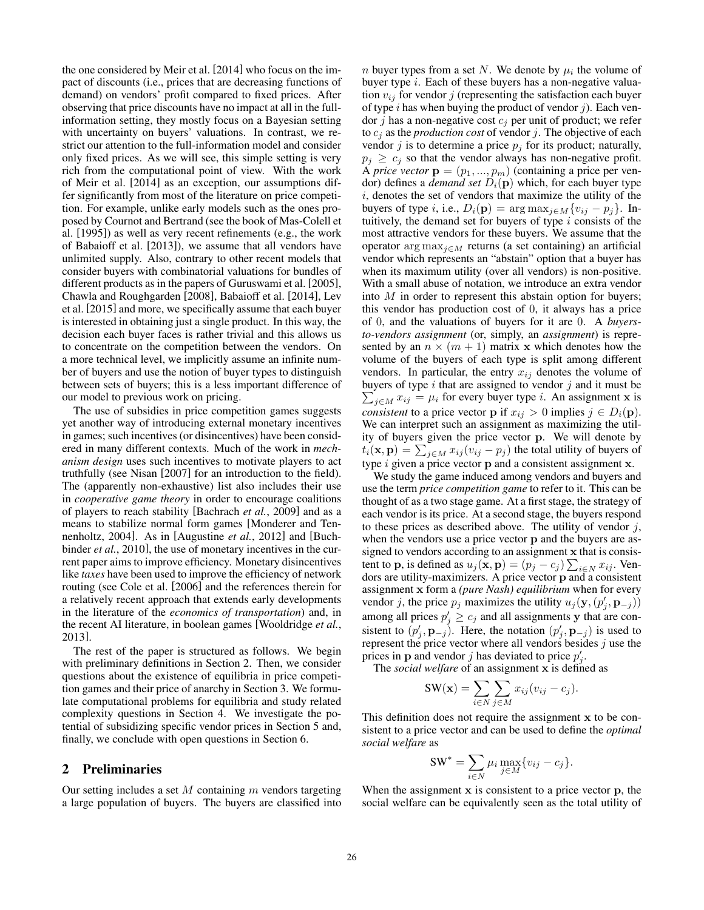the one considered by Meir et al. [2014] who focus on the impact of discounts (i.e., prices that are decreasing functions of demand) on vendors' profit compared to fixed prices. After observing that price discounts have no impact at all in the fullinformation setting, they mostly focus on a Bayesian setting with uncertainty on buyers' valuations. In contrast, we restrict our attention to the full-information model and consider only fixed prices. As we will see, this simple setting is very rich from the computational point of view. With the work of Meir et al. [2014] as an exception, our assumptions differ significantly from most of the literature on price competition. For example, unlike early models such as the ones proposed by Cournot and Bertrand (see the book of Mas-Colell et al. [1995]) as well as very recent refinements (e.g., the work of Babaioff et al. [2013]), we assume that all vendors have unlimited supply. Also, contrary to other recent models that consider buyers with combinatorial valuations for bundles of different products as in the papers of Guruswami et al. [2005], Chawla and Roughgarden [2008], Babaioff et al. [2014], Lev et al. [2015] and more, we specifically assume that each buyer is interested in obtaining just a single product. In this way, the decision each buyer faces is rather trivial and this allows us to concentrate on the competition between the vendors. On a more technical level, we implicitly assume an infinite number of buyers and use the notion of buyer types to distinguish between sets of buyers; this is a less important difference of our model to previous work on pricing.

The use of subsidies in price competition games suggests yet another way of introducing external monetary incentives in games; such incentives (or disincentives) have been considered in many different contexts. Much of the work in *mechanism design* uses such incentives to motivate players to act truthfully (see Nisan [2007] for an introduction to the field). The (apparently non-exhaustive) list also includes their use in *cooperative game theory* in order to encourage coalitions of players to reach stability [Bachrach *et al.*, 2009] and as a means to stabilize normal form games [Monderer and Tennenholtz, 2004]. As in [Augustine *et al.*, 2012] and [Buchbinder *et al.*, 2010], the use of monetary incentives in the current paper aims to improve efficiency. Monetary disincentives like *taxes* have been used to improve the efficiency of network routing (see Cole et al. [2006] and the references therein for a relatively recent approach that extends early developments in the literature of the *economics of transportation*) and, in the recent AI literature, in boolean games [Wooldridge *et al.*, 2013].

The rest of the paper is structured as follows. We begin with preliminary definitions in Section 2. Then, we consider questions about the existence of equilibria in price competition games and their price of anarchy in Section 3. We formulate computational problems for equilibria and study related complexity questions in Section 4. We investigate the potential of subsidizing specific vendor prices in Section 5 and, finally, we conclude with open questions in Section 6.

#### 2 Preliminaries

Our setting includes a set  $M$  containing  $m$  vendors targeting a large population of buyers. The buyers are classified into

*n* buyer types from a set N. We denote by  $\mu_i$  the volume of buyer type *i*. Each of these buyers has a non-negative valuation  $v_{ij}$  for vendor j (representing the satisfaction each buyer of type  $i$  has when buying the product of vendor  $j$ ). Each vendor j has a non-negative cost  $c_j$  per unit of product; we refer to  $c_i$  as the *production cost* of vendor j. The objective of each vendor  $j$  is to determine a price  $p_j$  for its product; naturally,  $p_i \geq c_i$  so that the vendor always has non-negative profit. A *price vector*  $\mathbf{p} = (p_1, ..., p_m)$  (containing a price per vendor) defines a *demand set*  $D_i(\mathbf{p})$  which, for each buyer type  $i$ , denotes the set of vendors that maximize the utility of the buyers of type i, i.e.,  $D_i(\mathbf{p}) = \arg \max_{j \in M} \{v_{ij} - p_j\}$ . Intuitively, the demand set for buyers of type  $i$  consists of the most attractive vendors for these buyers. We assume that the operator  $\arg \max_{j \in M}$  returns (a set containing) an artificial vendor which represents an "abstain" option that a buyer has when its maximum utility (over all vendors) is non-positive. With a small abuse of notation, we introduce an extra vendor into  $M$  in order to represent this abstain option for buyers; this vendor has production cost of 0, it always has a price of 0, and the valuations of buyers for it are 0. A *buyersto-vendors assignment* (or, simply, an *assignment*) is represented by an  $n \times (m + 1)$  matrix x which denotes how the volume of the buyers of each type is split among different vendors. In particular, the entry  $x_{ij}$  denotes the volume of buyers of type  $i$  that are assigned to vendor  $j$  and it must be  $\sum_{j \in M} x_{ij} = \mu_i$  for every buyer type *i*. An assignment **x** is *consistent* to a price vector **p** if  $x_{ij} > 0$  implies  $j \in D_i(\mathbf{p})$ . We can interpret such an assignment as maximizing the utility of buyers given the price vector p. We will denote by  $t_i(\mathbf{x}, \mathbf{p}) = \sum_{j \in M} x_{ij} (v_{ij} - p_j)$  the total utility of buyers of type  $i$  given a price vector  $p$  and a consistent assignment  $x$ .

We study the game induced among vendors and buyers and use the term *price competition game* to refer to it. This can be thought of as a two stage game. At a first stage, the strategy of each vendor is its price. At a second stage, the buyers respond to these prices as described above. The utility of vendor  $j$ , when the vendors use a price vector **p** and the buyers are assigned to vendors according to an assignment x that is consistent to **p**, is defined as  $u_j(\mathbf{x}, \mathbf{p}) = (p_j - c_j) \sum_{i \in N} x_{ij}$ . Vendors are utility-maximizers. A price vector p and a consistent assignment x form a *(pure Nash) equilibrium* when for every vendor j, the price  $p_j$  maximizes the utility  $u_j(\mathbf{y}, (p'_j, \mathbf{p}_{-j}))$ among all prices  $p'_j \geq c_j$  and all assignments y that are consistent to  $(p'_j, \mathbf{p}_{-j})$ . Here, the notation  $(p'_j, \mathbf{p}_{-j})$  is used to represent the price vector where all vendors besides  $j$  use the prices in **p** and vendor *j* has deviated to price  $p'_j$ .

The *social welfare* of an assignment x is defined as

$$
SW(\mathbf{x}) = \sum_{i \in N} \sum_{j \in M} x_{ij} (v_{ij} - c_j).
$$

This definition does not require the assignment x to be consistent to a price vector and can be used to define the *optimal social welfare* as

$$
\mathbf{SW}^* = \sum_{i \in N} \mu_i \max_{j \in M} \{v_{ij} - c_j\}.
$$

When the assignment  $x$  is consistent to a price vector  $p$ , the social welfare can be equivalently seen as the total utility of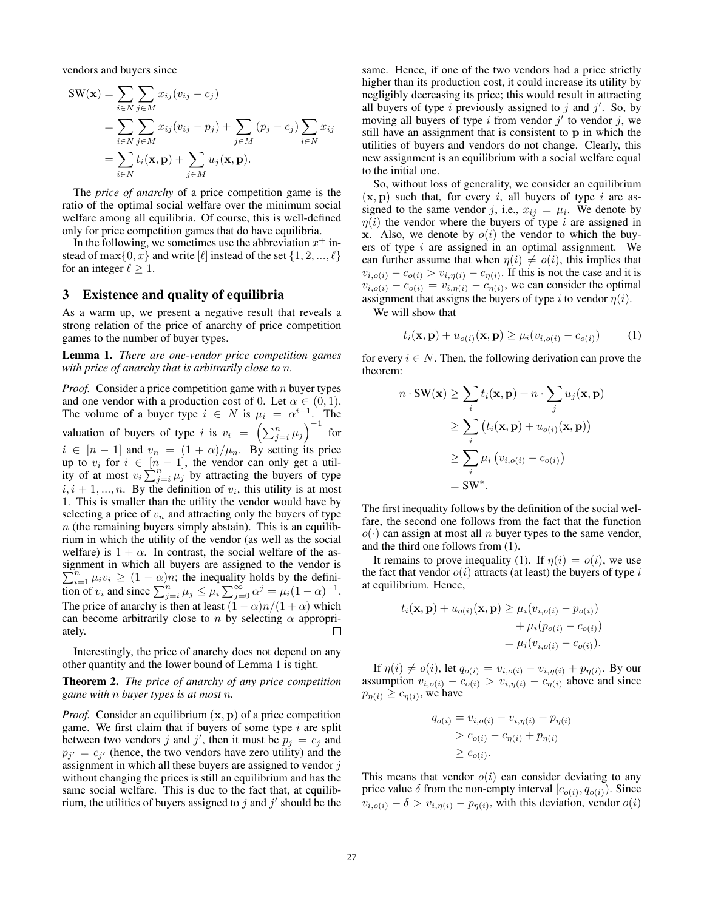vendors and buyers since

$$
\begin{split} \mathbf{SW}(\mathbf{x}) &= \sum_{i \in N} \sum_{j \in M} x_{ij} (v_{ij} - c_j) \\ &= \sum_{i \in N} \sum_{j \in M} x_{ij} (v_{ij} - p_j) + \sum_{j \in M} (p_j - c_j) \sum_{i \in N} x_{ij} \\ &= \sum_{i \in N} t_i(\mathbf{x}, \mathbf{p}) + \sum_{j \in M} u_j(\mathbf{x}, \mathbf{p}). \end{split}
$$

The *price of anarchy* of a price competition game is the ratio of the optimal social welfare over the minimum social welfare among all equilibria. Of course, this is well-defined only for price competition games that do have equilibria.

In the following, we sometimes use the abbreviation  $x^+$  instead of max $\{0, x\}$  and write  $[\ell]$  instead of the set  $\{1, 2, ..., \ell\}$ for an integer  $\ell \geq 1$ .

#### 3 Existence and quality of equilibria

As a warm up, we present a negative result that reveals a strong relation of the price of anarchy of price competition games to the number of buyer types.

Lemma 1. *There are one-vendor price competition games with price of anarchy that is arbitrarily close to* n*.*

*Proof.* Consider a price competition game with n buyer types and one vendor with a production cost of 0. Let  $\alpha \in (0, 1)$ . The volume of a buyer type  $i \in N$  is  $\mu_i = \alpha^{i-1}$ . The valuation of buyers of type i is  $v_i = \left(\sum_{j=i}^n \mu_j\right)^{-1}$  for  $i \in [n-1]$  and  $v_n = (1+\alpha)/\mu_n$ . By setting its price up to  $v_i$  for  $i \in [n-1]$ , the vendor can only get a utility of at most  $v_i \sum_{j=i}^{n} \mu_j$  by attracting the buyers of type  $i, i + 1, \ldots, n$ . By the definition of  $v_i$ , this utility is at most 1. This is smaller than the utility the vendor would have by selecting a price of  $v_n$  and attracting only the buyers of type  $n$  (the remaining buyers simply abstain). This is an equilibrium in which the utility of the vendor (as well as the social welfare) is  $1 + \alpha$ . In contrast, the social welfare of the assignment in which all buyers are assigned to the vendor is  $\sum_{i=1}^{n} \mu_i v_i \ge (1 - \alpha)n$ ; the inequality holds by the definition of  $v_i$  and since  $\sum_{j=i}^{n} \mu_j \leq \mu_i \sum_{j=0}^{\infty} \alpha^j = \mu_i (1-\alpha)^{-1}$ . The price of anarchy is then at least  $(1 - \alpha)n/(1 + \alpha)$  which can become arbitrarily close to n by selecting  $\alpha$  appropriately.  $\Box$ 

Interestingly, the price of anarchy does not depend on any other quantity and the lower bound of Lemma 1 is tight.

Theorem 2. *The price of anarchy of any price competition game with* n *buyer types is at most* n*.*

*Proof.* Consider an equilibrium  $(x, p)$  of a price competition game. We first claim that if buyers of some type  $i$  are split between two vendors j and j', then it must be  $p_j = c_j$  and  $p_{j'} = c_{j'}$  (hence, the two vendors have zero utility) and the assignment in which all these buyers are assigned to vendor  $j$ without changing the prices is still an equilibrium and has the same social welfare. This is due to the fact that, at equilibrium, the utilities of buyers assigned to j and j' should be the same. Hence, if one of the two vendors had a price strictly higher than its production cost, it could increase its utility by negligibly decreasing its price; this would result in attracting all buyers of type i previously assigned to j and  $j'$ . So, by moving all buyers of type i from vendor  $j'$  to vendor j, we still have an assignment that is consistent to p in which the utilities of buyers and vendors do not change. Clearly, this new assignment is an equilibrium with a social welfare equal to the initial one.

So, without loss of generality, we consider an equilibrium  $(x, p)$  such that, for every i, all buyers of type i are assigned to the same vendor j, i.e.,  $x_{ij} = \mu_i$ . We denote by  $\eta(i)$  the vendor where the buyers of type i are assigned in x. Also, we denote by  $o(i)$  the vendor to which the buyers of type  $i$  are assigned in an optimal assignment. We can further assume that when  $\eta(i) \neq o(i)$ , this implies that  $v_{i,o(i)} - c_{o(i)} > v_{i,\eta(i)} - c_{\eta(i)}$ . If this is not the case and it is  $v_{i,o(i)} - c_{o(i)} = v_{i,\eta(i)} - c_{\eta(i)}$ , we can consider the optimal assignment that assigns the buyers of type i to vendor  $\eta(i)$ .

We will show that

$$
t_i(\mathbf{x}, \mathbf{p}) + u_{o(i)}(\mathbf{x}, \mathbf{p}) \ge \mu_i(v_{i, o(i)} - c_{o(i)}) \tag{1}
$$

for every  $i \in N$ . Then, the following derivation can prove the theorem:

$$
n \cdot \text{SW}(\mathbf{x}) \ge \sum_{i} t_i(\mathbf{x}, \mathbf{p}) + n \cdot \sum_{j} u_j(\mathbf{x}, \mathbf{p})
$$
  
\n
$$
\ge \sum_{i} (t_i(\mathbf{x}, \mathbf{p}) + u_{o(i)}(\mathbf{x}, \mathbf{p}))
$$
  
\n
$$
\ge \sum_{i} \mu_i (v_{i, o(i)} - c_{o(i)})
$$
  
\n
$$
= \text{SW}^*.
$$

The first inequality follows by the definition of the social welfare, the second one follows from the fact that the function  $o(\cdot)$  can assign at most all n buyer types to the same vendor, and the third one follows from (1).

It remains to prove inequality (1). If  $\eta(i) = o(i)$ , we use the fact that vendor  $o(i)$  attracts (at least) the buyers of type i at equilibrium. Hence,

$$
t_i(\mathbf{x}, \mathbf{p}) + u_{o(i)}(\mathbf{x}, \mathbf{p}) \ge \mu_i(v_{i, o(i)} - p_{o(i)})
$$
  
+  $\mu_i(p_{o(i)} - c_{o(i)})$   
=  $\mu_i(v_{i, o(i)} - c_{o(i)})$ .

If  $\eta(i) \neq o(i)$ , let  $q_{o(i)} = v_{i,o(i)} - v_{i,\eta(i)} + p_{\eta(i)}$ . By our assumption  $v_{i,o(i)} - c_{o(i)} > v_{i,\eta(i)} - c_{\eta(i)}$  above and since  $p_{\eta(i)} \geq c_{\eta(i)}$ , we have

$$
q_{o(i)} = v_{i,o(i)} - v_{i,\eta(i)} + p_{\eta(i)}
$$
  
>  $c_{o(i)} - c_{\eta(i)} + p_{\eta(i)}$   
 $\ge c_{o(i)}$ .

This means that vendor  $o(i)$  can consider deviating to any price value  $\delta$  from the non-empty interval  $[c_{o(i)}, q_{o(i)})$ . Since  $v_{i,o(i)} - \delta > v_{i,\eta(i)} - p_{\eta(i)}$ , with this deviation, vendor  $o(i)$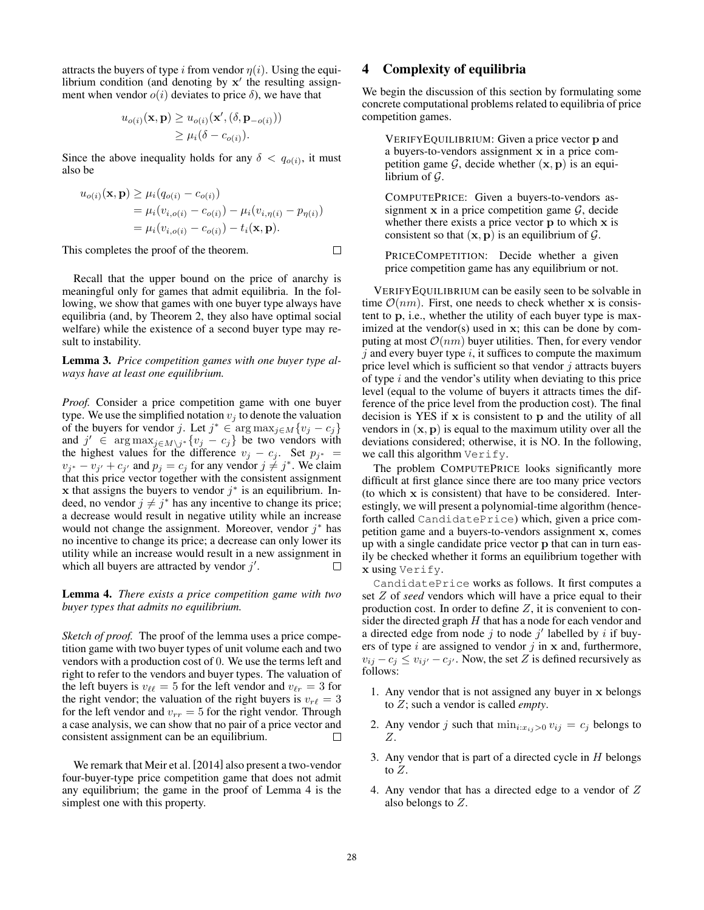attracts the buyers of type i from vendor  $\eta(i)$ . Using the equilibrium condition (and denoting by  $x'$  the resulting assignment when vendor  $o(i)$  deviates to price  $\delta$ ), we have that

$$
u_{o(i)}(\mathbf{x}, \mathbf{p}) \ge u_{o(i)}(\mathbf{x}', (\delta, \mathbf{p}_{-o(i)}))
$$
  

$$
\ge \mu_i(\delta - c_{o(i)}).
$$

Since the above inequality holds for any  $\delta < q_{o(i)}$ , it must also be

$$
u_{o(i)}(\mathbf{x}, \mathbf{p}) \ge \mu_i (q_{o(i)} - c_{o(i)})
$$
  
=  $\mu_i (v_{i,o(i)} - c_{o(i)}) - \mu_i (v_{i,\eta(i)} - p_{\eta(i)})$   
=  $\mu_i (v_{i,o(i)} - c_{o(i)}) - t_i(\mathbf{x}, \mathbf{p}).$ 

This completes the proof of the theorem.

Recall that the upper bound on the price of anarchy is meaningful only for games that admit equilibria. In the following, we show that games with one buyer type always have equilibria (and, by Theorem 2, they also have optimal social welfare) while the existence of a second buyer type may result to instability.

Lemma 3. *Price competition games with one buyer type always have at least one equilibrium.*

*Proof.* Consider a price competition game with one buyer type. We use the simplified notation  $v_i$  to denote the valuation of the buyers for vendor j. Let  $j^* \in \arg \max_{j \in M} \{v_j - c_j\}$ and  $j' \in \arg \max_{j \in M \setminus j^*} \{v_j - c_j\}$  be two vendors with the highest values for the difference  $v_j - c_j$ . Set  $p_{j^*} =$  $v_{j^*} - v_{j'} + c_{j'}$  and  $p_j = c_j$  for any vendor  $j \neq j^*$ . We claim that this price vector together with the consistent assignment x that assigns the buyers to vendor  $j^*$  is an equilibrium. Indeed, no vendor  $j \neq j^*$  has any incentive to change its price; a decrease would result in negative utility while an increase would not change the assignment. Moreover, vendor  $j^*$  has no incentive to change its price; a decrease can only lower its utility while an increase would result in a new assignment in which all buyers are attracted by vendor  $j'$ .  $\Box$ 

Lemma 4. *There exists a price competition game with two buyer types that admits no equilibrium.*

*Sketch of proof.* The proof of the lemma uses a price competition game with two buyer types of unit volume each and two vendors with a production cost of 0. We use the terms left and right to refer to the vendors and buyer types. The valuation of the left buyers is  $v_{\ell\ell} = 5$  for the left vendor and  $v_{\ell r} = 3$  for the right vendor; the valuation of the right buyers is  $v_{r\ell} = 3$ for the left vendor and  $v_{rr} = 5$  for the right vendor. Through a case analysis, we can show that no pair of a price vector and consistent assignment can be an equilibrium.  $\Box$ 

We remark that Meir et al. [2014] also present a two-vendor four-buyer-type price competition game that does not admit any equilibrium; the game in the proof of Lemma 4 is the simplest one with this property.

### 4 Complexity of equilibria

We begin the discussion of this section by formulating some concrete computational problems related to equilibria of price competition games.

VERIFYEQUILIBRIUM: Given a price vector p and a buyers-to-vendors assignment x in a price competition game  $G$ , decide whether  $(x, p)$  is an equilibrium of  $\mathcal G$ .

COMPUTEPRICE: Given a buyers-to-vendors assignment x in a price competition game  $\mathcal{G}$ , decide whether there exists a price vector **p** to which **x** is consistent so that  $(x, p)$  is an equilibrium of  $\mathcal{G}$ .

PRICECOMPETITION: Decide whether a given price competition game has any equilibrium or not.

VERIFYEQUILIBRIUM can be easily seen to be solvable in time  $\mathcal{O}(nm)$ . First, one needs to check whether x is consistent to p, i.e., whether the utility of each buyer type is maximized at the vendor(s) used in x; this can be done by computing at most  $\mathcal{O}(nm)$  buyer utilities. Then, for every vendor  $j$  and every buyer type  $i$ , it suffices to compute the maximum price level which is sufficient so that vendor  $j$  attracts buyers of type  $i$  and the vendor's utility when deviating to this price level (equal to the volume of buyers it attracts times the difference of the price level from the production cost). The final decision is YES if  $x$  is consistent to  $p$  and the utility of all vendors in  $(x, p)$  is equal to the maximum utility over all the deviations considered; otherwise, it is NO. In the following, we call this algorithm Verify.

The problem COMPUTEPRICE looks significantly more difficult at first glance since there are too many price vectors (to which x is consistent) that have to be considered. Interestingly, we will present a polynomial-time algorithm (henceforth called CandidatePrice) which, given a price competition game and a buyers-to-vendors assignment x, comes up with a single candidate price vector p that can in turn easily be checked whether it forms an equilibrium together with x using Verify.

CandidatePrice works as follows. It first computes a set Z of *seed* vendors which will have a price equal to their production cost. In order to define  $Z$ , it is convenient to consider the directed graph  $H$  that has a node for each vendor and a directed edge from node  $j$  to node  $j'$  labelled by  $i$  if buyers of type  $i$  are assigned to vendor  $j$  in  $x$  and, furthermore,  $v_{ij} - c_j \le v_{ij'} - c_{j'}$ . Now, the set Z is defined recursively as follows:

- 1. Any vendor that is not assigned any buyer in x belongs to Z; such a vendor is called *empty*.
- 2. Any vendor j such that  $\min_{i:x_{ij}>0} v_{ij} = c_j$  belongs to Z.
- 3. Any vendor that is part of a directed cycle in  $H$  belongs to Z.
- 4. Any vendor that has a directed edge to a vendor of Z also belongs to Z.

 $\Box$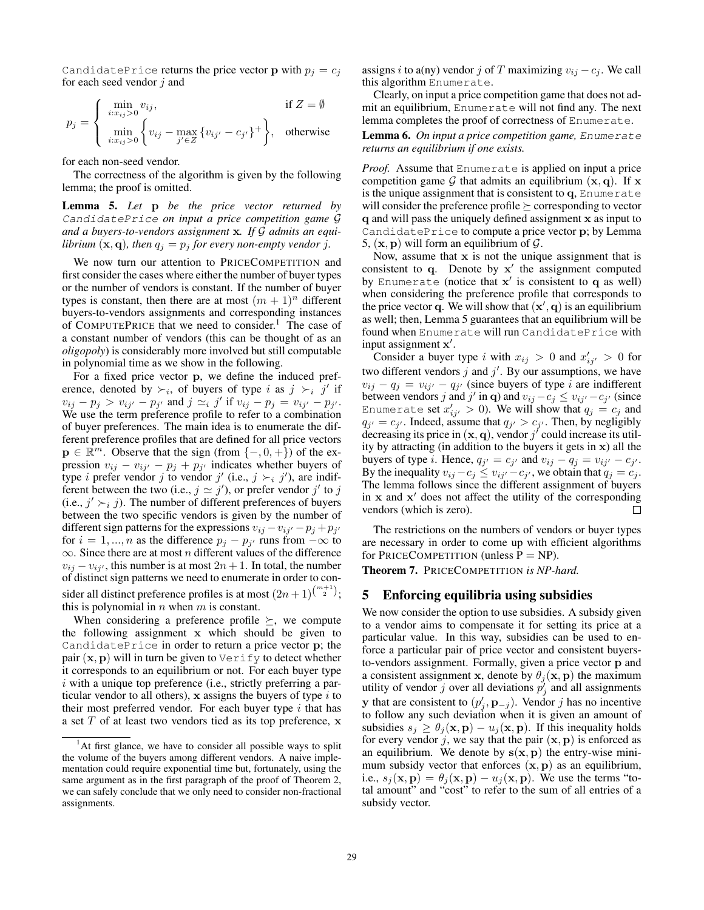CandidatePrice returns the price vector **p** with  $p_i = c_j$ for each seed vendor  $j$  and

$$
p_j = \begin{cases} \min_{i:x_{ij}>0} v_{ij}, & \text{if } Z = \emptyset \\ \min_{i:x_{ij}>0} \left\{ v_{ij} - \max_{j' \in Z} \{ v_{ij'} - c_{j'} \}^+ \right\}, & \text{otherwise} \end{cases}
$$

for each non-seed vendor.

The correctness of the algorithm is given by the following lemma; the proof is omitted.

Lemma 5. *Let* p *be the price vector returned by* CandidatePrice *on input a price competition game* G *and a buyers-to-vendors assignment* x*. If* G *admits an equilibrium*  $(x, q)$ *, then*  $q_i = p_i$  *for every non-empty vendor j.* 

We now turn our attention to PRICECOMPETITION and first consider the cases where either the number of buyer types or the number of vendors is constant. If the number of buyer types is constant, then there are at most  $(m + 1)^n$  different buyers-to-vendors assignments and corresponding instances of COMPUTEPRICE that we need to consider.<sup>1</sup> The case of a constant number of vendors (this can be thought of as an *oligopoly*) is considerably more involved but still computable in polynomial time as we show in the following.

For a fixed price vector p, we define the induced preference, denoted by  $\succ_i$ , of buyers of type i as  $j \succ_i j'$  if  $v_{ij} - p_j > v_{ij'} - p_{j'}$  and  $j \simeq i j'$  if  $v_{ij} - p_j = v_{ij'} - p_{j'}$ . We use the term preference profile to refer to a combination of buyer preferences. The main idea is to enumerate the different preference profiles that are defined for all price vectors  $\mathbf{p} \in \mathbb{R}^m$ . Observe that the sign (from  $\{-,0,+\}$ ) of the expression  $v_{ij} - v_{ij'} - p_j + p_{j'}$  indicates whether buyers of type *i* prefer vendor *j* to vendor *j'* (i.e., *j*  $\succ$ <sub>*i*</sub> *j'*), are indifferent between the two (i.e.,  $j \approx j'$ ), or prefer vendor  $j'$  to j (i.e.,  $j' \succ_i j$ ). The number of different preferences of buyers between the two specific vendors is given by the number of different sign patterns for the expressions  $v_{ij} - v_{ij'} - p_j + p_{j'}$ for  $i = 1, ..., n$  as the difference  $p_j - p_{j'}$  runs from  $-\infty$  to  $\infty$ . Since there are at most *n* different values of the difference  $v_{ij} - v_{ij}$ , this number is at most  $2n + 1$ . In total, the number of distinct sign patterns we need to enumerate in order to consider all distinct preference profiles is at most  $(2n+1)^{\binom{m+1}{2}}$ ; this is polynomial in  $n$  when  $m$  is constant.

When considering a preference profile  $\succeq$ , we compute the following assignment x which should be given to CandidatePrice in order to return a price vector p; the pair  $(x, p)$  will in turn be given to  $\forall$ erify to detect whether it corresponds to an equilibrium or not. For each buyer type  $i$  with a unique top preference (i.e., strictly preferring a particular vendor to all others),  $x$  assigns the buyers of type  $i$  to their most preferred vendor. For each buyer type  $i$  that has a set  $T$  of at least two vendors tied as its top preference,  $x$  assigns i to a(ny) vendor j of T maximizing  $v_{ij} - c_j$ . We call this algorithm Enumerate.

Clearly, on input a price competition game that does not admit an equilibrium, Enumerate will not find any. The next lemma completes the proof of correctness of Enumerate.

Lemma 6. *On input a price competition game,* Enumerate *returns an equilibrium if one exists.*

*Proof.* Assume that Enumerate is applied on input a price competition game G that admits an equilibrium  $(x, q)$ . If x is the unique assignment that is consistent to q, Enumerate will consider the preference profile  $\succeq$  corresponding to vector q and will pass the uniquely defined assignment x as input to CandidatePrice to compute a price vector p; by Lemma 5,  $(x, p)$  will form an equilibrium of  $\mathcal{G}$ .

Now, assume that  $x$  is not the unique assignment that is consistent to  $q$ . Denote by  $x'$  the assignment computed by Enumerate (notice that  $x'$  is consistent to  $q$  as well) when considering the preference profile that corresponds to the price vector q. We will show that  $(x', q)$  is an equilibrium as well; then, Lemma 5 guarantees that an equilibrium will be found when Enumerate will run CandidatePrice with input assignment x'.

Consider a buyer type i with  $x_{ij} > 0$  and  $x'_{ij'} > 0$  for two different vendors  $j$  and  $j'$ . By our assumptions, we have  $v_{ij} - q_j = v_{ij'} - q_{j'}$  (since buyers of type i are indifferent between vendors j and j' in q) and  $v_{ij} - c_j \le v_{ij'} - c_{j'}$  (since Enumerate set  $x_{ij^{'}}^{'} > 0$ ). We will show that  $q_j = c_j$  and  $q_{j'} = c_{j'}$ . Indeed, assume that  $q_{j'} > c_{j'}$ . Then, by negligibly decreasing its price in  $(x, q)$ , vendor j' could increase its utility by attracting (in addition to the buyers it gets in  $x$ ) all the buyers of type *i*. Hence,  $q_{j'} = c_{j'}$  and  $v_{ij} - q_j = v_{ij'} - c_{j'}$ . By the inequality  $v_{ij} - c_j \le v_{ij'} - c_{j'}$ , we obtain that  $q_j = c_j$ . The lemma follows since the different assignment of buyers in  $x$  and  $x'$  does not affect the utility of the corresponding vendors (which is zero).  $\Box$ 

The restrictions on the numbers of vendors or buyer types are necessary in order to come up with efficient algorithms for PRICECOMPETITION (unless  $P = NP$ ).

Theorem 7. PRICECOMPETITION *is NP-hard.*

### 5 Enforcing equilibria using subsidies

We now consider the option to use subsidies. A subsidy given to a vendor aims to compensate it for setting its price at a particular value. In this way, subsidies can be used to enforce a particular pair of price vector and consistent buyersto-vendors assignment. Formally, given a price vector p and a consistent assignment x, denote by  $\theta_i$ (x, p) the maximum utility of vendor j over all deviations  $p'_j$  and all assignments y that are consistent to  $(p'_j, \mathbf{p}_{-j})$ . Vendor j has no incentive to follow any such deviation when it is given an amount of subsidies  $s_j \geq \theta_j(\mathbf{x}, \mathbf{p}) - u_j(\mathbf{x}, \mathbf{p})$ . If this inequality holds for every vendor j, we say that the pair  $(x, p)$  is enforced as an equilibrium. We denote by  $s(x, p)$  the entry-wise minimum subsidy vector that enforces  $(x, p)$  as an equilibrium, i.e.,  $s_i(\mathbf{x}, \mathbf{p}) = \theta_i(\mathbf{x}, \mathbf{p}) - u_i(\mathbf{x}, \mathbf{p})$ . We use the terms "total amount" and "cost" to refer to the sum of all entries of a subsidy vector.

 $<sup>1</sup>$ At first glance, we have to consider all possible ways to split</sup> the volume of the buyers among different vendors. A naive implementation could require exponential time but, fortunately, using the same argument as in the first paragraph of the proof of Theorem 2, we can safely conclude that we only need to consider non-fractional assignments.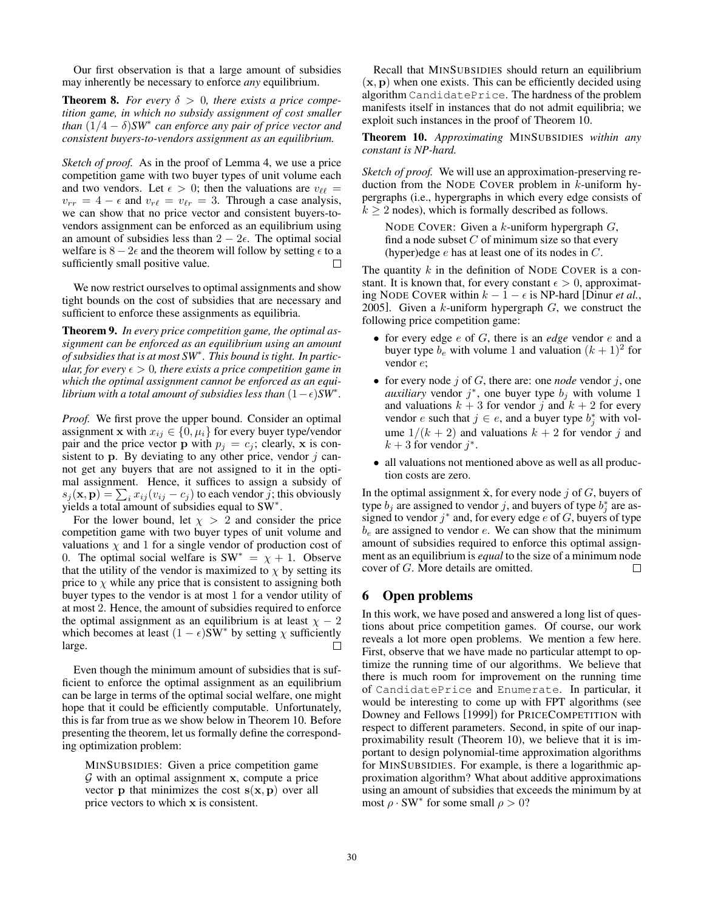Our first observation is that a large amount of subsidies may inherently be necessary to enforce *any* equilibrium.

**Theorem 8.** *For every*  $\delta > 0$ *, there exists a price competition game, in which no subsidy assignment of cost smaller than* (1/4 − δ)*SW*<sup>∗</sup> *can enforce any pair of price vector and consistent buyers-to-vendors assignment as an equilibrium.*

*Sketch of proof.* As in the proof of Lemma 4, we use a price competition game with two buyer types of unit volume each and two vendors. Let  $\epsilon > 0$ ; then the valuations are  $v_{\ell\ell} =$  $v_{rr} = 4 - \epsilon$  and  $v_{r\ell} = v_{\ell r} = 3$ . Through a case analysis, we can show that no price vector and consistent buyers-tovendors assignment can be enforced as an equilibrium using an amount of subsidies less than  $2 - 2\epsilon$ . The optimal social welfare is  $8 - 2\epsilon$  and the theorem will follow by setting  $\epsilon$  to a sufficiently small positive value.  $\Box$ 

We now restrict ourselves to optimal assignments and show tight bounds on the cost of subsidies that are necessary and sufficient to enforce these assignments as equilibria.

Theorem 9. *In every price competition game, the optimal assignment can be enforced as an equilibrium using an amount of subsidies that is at most SW*<sup>∗</sup> *. This bound is tight. In particular, for every*  $\epsilon > 0$ *, there exists a price competition game in which the optimal assignment cannot be enforced as an equilibrium with a total amount of subsidies less than* (1−)*SW*<sup>∗</sup> *.*

*Proof.* We first prove the upper bound. Consider an optimal assignment x with  $x_{ij} \in \{0, \mu_i\}$  for every buyer type/vendor pair and the price vector **p** with  $p_i = c_i$ ; clearly, **x** is consistent to  $p$ . By deviating to any other price, vendor  $j$  cannot get any buyers that are not assigned to it in the optimal assignment. Hence, it suffices to assign a subsidy of  $s_j(\mathbf{x}, \mathbf{p}) = \sum_i x_{ij} (v_{ij} - c_j)$  to each vendor j; this obviously yields a total amount of subsidies equal to  $\text{SW}^*$ .

For the lower bound, let  $\chi > 2$  and consider the price competition game with two buyer types of unit volume and valuations  $\chi$  and 1 for a single vendor of production cost of 0. The optimal social welfare is  $SW^* = \chi + 1$ . Observe that the utility of the vendor is maximized to  $\chi$  by setting its price to  $\chi$  while any price that is consistent to assigning both buyer types to the vendor is at most 1 for a vendor utility of at most 2. Hence, the amount of subsidies required to enforce the optimal assignment as an equilibrium is at least  $\chi - 2$ which becomes at least  $(1 - \epsilon)$ SW<sup>\*</sup> by setting  $\chi$  sufficiently large.  $\Box$ 

Even though the minimum amount of subsidies that is sufficient to enforce the optimal assignment as an equilibrium can be large in terms of the optimal social welfare, one might hope that it could be efficiently computable. Unfortunately, this is far from true as we show below in Theorem 10. Before presenting the theorem, let us formally define the corresponding optimization problem:

MINSUBSIDIES: Given a price competition game  $G$  with an optimal assignment x, compute a price vector **p** that minimizes the cost  $s(x, p)$  over all price vectors to which x is consistent.

Recall that MINSUBSIDIES should return an equilibrium  $(x, p)$  when one exists. This can be efficiently decided using algorithm CandidatePrice. The hardness of the problem manifests itself in instances that do not admit equilibria; we exploit such instances in the proof of Theorem 10.

Theorem 10. *Approximating* MINSUBSIDIES *within any constant is NP-hard.*

*Sketch of proof.* We will use an approximation-preserving reduction from the NODE COVER problem in  $k$ -uniform hypergraphs (i.e., hypergraphs in which every edge consists of  $k > 2$  nodes), which is formally described as follows.

NODE COVER: Given a  $k$ -uniform hypergraph  $G$ , find a node subset  $C$  of minimum size so that every (hyper)edge  $e$  has at least one of its nodes in  $C$ .

The quantity  $k$  in the definition of NODE COVER is a constant. It is known that, for every constant  $\epsilon > 0$ , approximating NODE COVER within  $k - 1 - \epsilon$  is NP-hard [Dinur *et al.*, 2005]. Given a  $k$ -uniform hypergraph  $G$ , we construct the following price competition game:

- for every edge e of G, there is an *edge* vendor e and a buyer type  $b_e$  with volume 1 and valuation  $(k + 1)^2$  for vendor e;
- for every node  $j$  of  $G$ , there are: one *node* vendor  $j$ , one *auxiliary* vendor  $j^*$ , one buyer type  $b_j$  with volume 1 and valuations  $k + 3$  for vendor j and  $k + 2$  for every vendor *e* such that  $j \in e$ , and a buyer type  $b_j^*$  with volume  $1/(k + 2)$  and valuations  $k + 2$  for vendor j and  $k + 3$  for vendor  $j^*$ .
- all valuations not mentioned above as well as all production costs are zero.

In the optimal assignment  $\hat{\mathbf{x}}$ , for every node j of G, buyers of type  $b_j$  are assigned to vendor j, and buyers of type  $b_j^*$  are assigned to vendor  $j^*$  and, for every edge e of G, buyers of type  $b_e$  are assigned to vendor e. We can show that the minimum amount of subsidies required to enforce this optimal assignment as an equilibrium is *equal* to the size of a minimum node cover of G. More details are omitted. П

### 6 Open problems

In this work, we have posed and answered a long list of questions about price competition games. Of course, our work reveals a lot more open problems. We mention a few here. First, observe that we have made no particular attempt to optimize the running time of our algorithms. We believe that there is much room for improvement on the running time of CandidatePrice and Enumerate. In particular, it would be interesting to come up with FPT algorithms (see Downey and Fellows [1999]) for PRICECOMPETITION with respect to different parameters. Second, in spite of our inapproximability result (Theorem 10), we believe that it is important to design polynomial-time approximation algorithms for MINSUBSIDIES. For example, is there a logarithmic approximation algorithm? What about additive approximations using an amount of subsidies that exceeds the minimum by at most  $\rho \cdot SW^*$  for some small  $\rho > 0$ ?